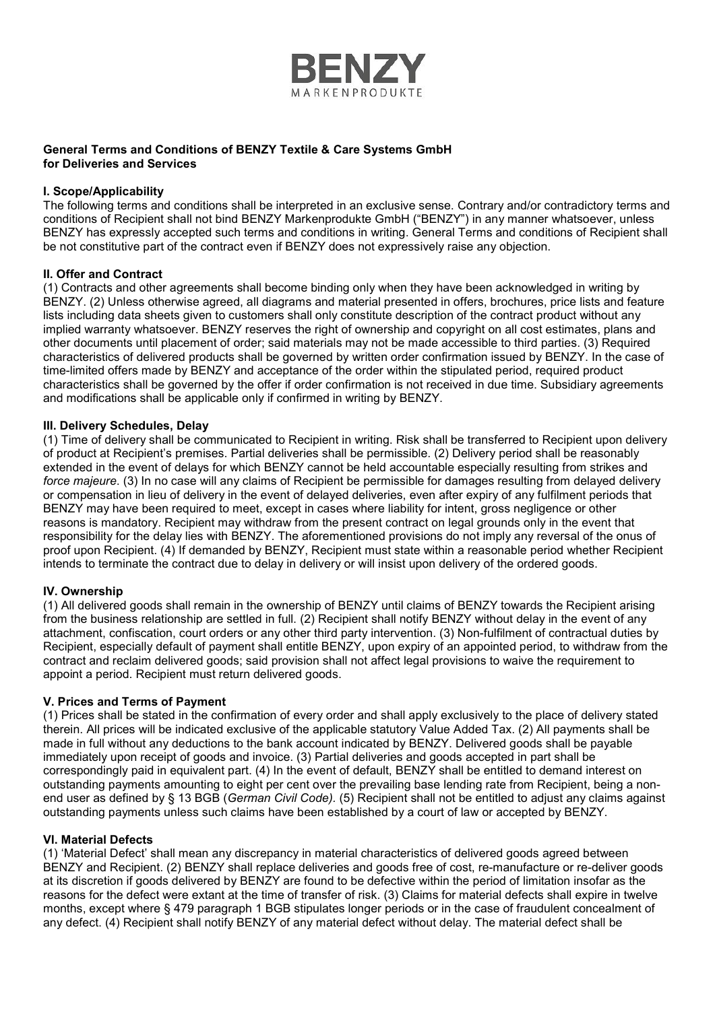

# General Terms and Conditions of BENZY Textile & Care Systems GmbH for Deliveries and Services

## I. Scope/Applicability

The following terms and conditions shall be interpreted in an exclusive sense. Contrary and/or contradictory terms and conditions of Recipient shall not bind BENZY Markenprodukte GmbH ("BENZY") in any manner whatsoever, unless BENZY has expressly accepted such terms and conditions in writing. General Terms and conditions of Recipient shall be not constitutive part of the contract even if BENZY does not expressively raise any objection.

## II. Offer and Contract

(1) Contracts and other agreements shall become binding only when they have been acknowledged in writing by BENZY. (2) Unless otherwise agreed, all diagrams and material presented in offers, brochures, price lists and feature lists including data sheets given to customers shall only constitute description of the contract product without any implied warranty whatsoever. BENZY reserves the right of ownership and copyright on all cost estimates, plans and other documents until placement of order; said materials may not be made accessible to third parties. (3) Required characteristics of delivered products shall be governed by written order confirmation issued by BENZY. In the case of time-limited offers made by BENZY and acceptance of the order within the stipulated period, required product characteristics shall be governed by the offer if order confirmation is not received in due time. Subsidiary agreements and modifications shall be applicable only if confirmed in writing by BENZY.

## III. Delivery Schedules, Delay

(1) Time of delivery shall be communicated to Recipient in writing. Risk shall be transferred to Recipient upon delivery of product at Recipient's premises. Partial deliveries shall be permissible. (2) Delivery period shall be reasonably extended in the event of delays for which BENZY cannot be held accountable especially resulting from strikes and force majeure. (3) In no case will any claims of Recipient be permissible for damages resulting from delayed delivery or compensation in lieu of delivery in the event of delayed deliveries, even after expiry of any fulfilment periods that BENZY may have been required to meet, except in cases where liability for intent, gross negligence or other reasons is mandatory. Recipient may withdraw from the present contract on legal grounds only in the event that responsibility for the delay lies with BENZY. The aforementioned provisions do not imply any reversal of the onus of proof upon Recipient. (4) If demanded by BENZY, Recipient must state within a reasonable period whether Recipient intends to terminate the contract due to delay in delivery or will insist upon delivery of the ordered goods.

# IV. Ownership

(1) All delivered goods shall remain in the ownership of BENZY until claims of BENZY towards the Recipient arising from the business relationship are settled in full. (2) Recipient shall notify BENZY without delay in the event of any attachment, confiscation, court orders or any other third party intervention. (3) Non-fulfilment of contractual duties by Recipient, especially default of payment shall entitle BENZY, upon expiry of an appointed period, to withdraw from the contract and reclaim delivered goods; said provision shall not affect legal provisions to waive the requirement to appoint a period. Recipient must return delivered goods.

# V. Prices and Terms of Payment

(1) Prices shall be stated in the confirmation of every order and shall apply exclusively to the place of delivery stated therein. All prices will be indicated exclusive of the applicable statutory Value Added Tax. (2) All payments shall be made in full without any deductions to the bank account indicated by BENZY. Delivered goods shall be payable immediately upon receipt of goods and invoice. (3) Partial deliveries and goods accepted in part shall be correspondingly paid in equivalent part. (4) In the event of default, BENZY shall be entitled to demand interest on outstanding payments amounting to eight per cent over the prevailing base lending rate from Recipient, being a nonend user as defined by § 13 BGB (German Civil Code). (5) Recipient shall not be entitled to adjust any claims against outstanding payments unless such claims have been established by a court of law or accepted by BENZY.

#### VI. Material Defects

(1) 'Material Defect' shall mean any discrepancy in material characteristics of delivered goods agreed between BENZY and Recipient. (2) BENZY shall replace deliveries and goods free of cost, re-manufacture or re-deliver goods at its discretion if goods delivered by BENZY are found to be defective within the period of limitation insofar as the reasons for the defect were extant at the time of transfer of risk. (3) Claims for material defects shall expire in twelve months, except where § 479 paragraph 1 BGB stipulates longer periods or in the case of fraudulent concealment of any defect. (4) Recipient shall notify BENZY of any material defect without delay. The material defect shall be